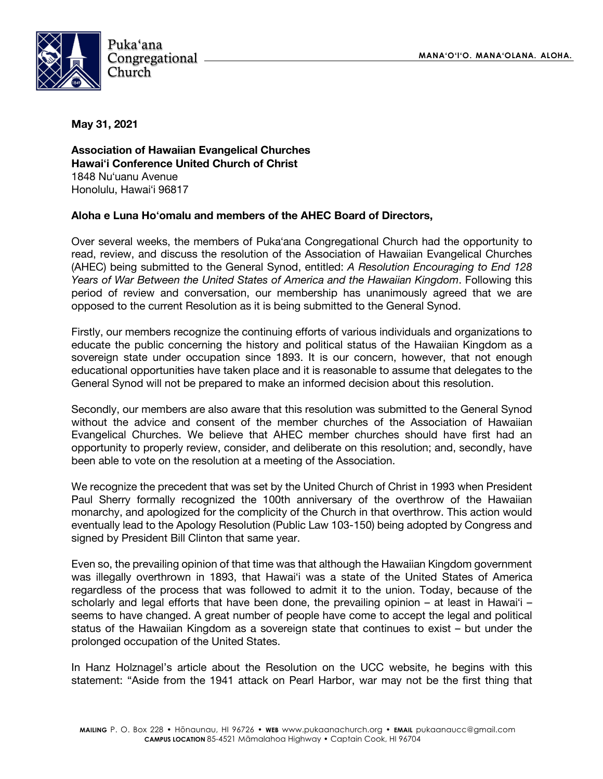

**May 31, 2021** 

**Association of Hawaiian Evangelical Churches Hawaiʻi Conference United Church of Christ**  1848 Nuʻuanu Avenue Honolulu, Hawaiʻi 96817

## **Aloha e Luna Hoʻomalu and members of the AHEC Board of Directors,**

Over several weeks, the members of Pukaʻana Congregational Church had the opportunity to read, review, and discuss the resolution of the Association of Hawaiian Evangelical Churches (AHEC) being submitted to the General Synod, entitled: *A Resolution Encouraging to End 128 Years of War Between the United States of America and the Hawaiian Kingdom*. Following this period of review and conversation, our membership has unanimously agreed that we are opposed to the current Resolution as it is being submitted to the General Synod.

Firstly, our members recognize the continuing efforts of various individuals and organizations to educate the public concerning the history and political status of the Hawaiian Kingdom as a sovereign state under occupation since 1893. It is our concern, however, that not enough educational opportunities have taken place and it is reasonable to assume that delegates to the General Synod will not be prepared to make an informed decision about this resolution.

Secondly, our members are also aware that this resolution was submitted to the General Synod without the advice and consent of the member churches of the Association of Hawaiian Evangelical Churches. We believe that AHEC member churches should have first had an opportunity to properly review, consider, and deliberate on this resolution; and, secondly, have been able to vote on the resolution at a meeting of the Association.

We recognize the precedent that was set by the United Church of Christ in 1993 when President Paul Sherry formally recognized the 100th anniversary of the overthrow of the Hawaiian monarchy, and apologized for the complicity of the Church in that overthrow. This action would eventually lead to the Apology Resolution (Public Law 103-150) being adopted by Congress and signed by President Bill Clinton that same year.

Even so, the prevailing opinion of that time was that although the Hawaiian Kingdom government was illegally overthrown in 1893, that Hawaiʻi was a state of the United States of America regardless of the process that was followed to admit it to the union. Today, because of the scholarly and legal efforts that have been done, the prevailing opinion – at least in Hawaiʻi – seems to have changed. A great number of people have come to accept the legal and political status of the Hawaiian Kingdom as a sovereign state that continues to exist – but under the prolonged occupation of the United States.

In Hanz Holznagel's article about the Resolution on the UCC website, he begins with this statement: "Aside from the 1941 attack on Pearl Harbor, war may not be the first thing that